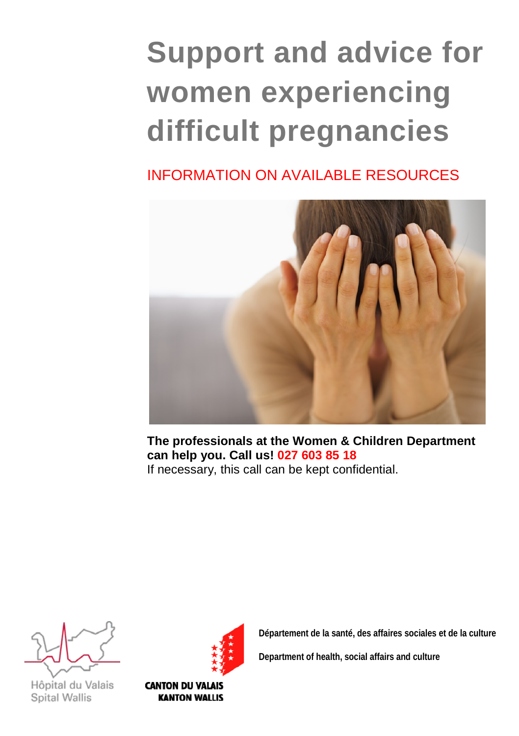# **Support and advice for women experiencing difficult pregnancies**

# INFORMATION ON AVAILABLE RESOURCES



**The professionals at the Women & Children Department can help you. Call us! 027 603 85 18** If necessary, this call can be kept confidential.



Hôpital du Valais **Spital Wallis** 



**CANTON DU VALAIS** 

**KANTON WALLIS** 

**Département de la santé, des affaires sociales et de la culture**

**Department of health, social affairs and culture**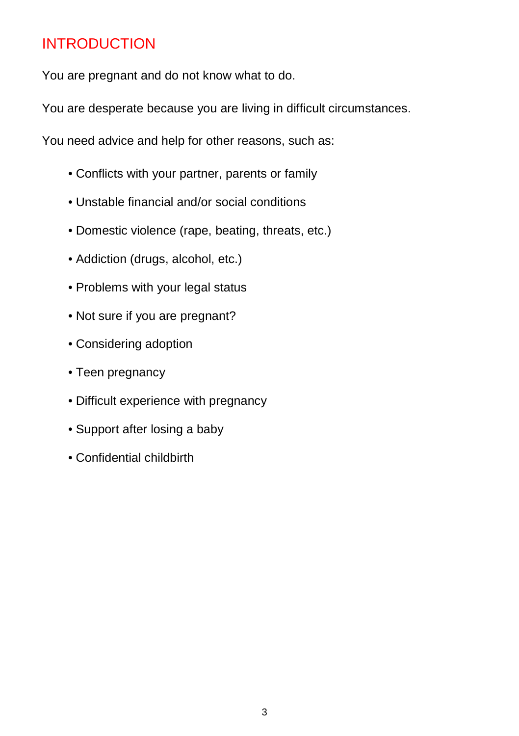## INTRODUCTION

You are pregnant and do not know what to do.

You are desperate because you are living in difficult circumstances.

You need advice and help for other reasons, such as:

- Conflicts with your partner, parents or family
- Unstable financial and/or social conditions
- Domestic violence (rape, beating, threats, etc.)
- Addiction (drugs, alcohol, etc.)
- Problems with your legal status
- Not sure if you are pregnant?
- Considering adoption
- Teen pregnancy
- Difficult experience with pregnancy
- Support after losing a baby
- Confidential childbirth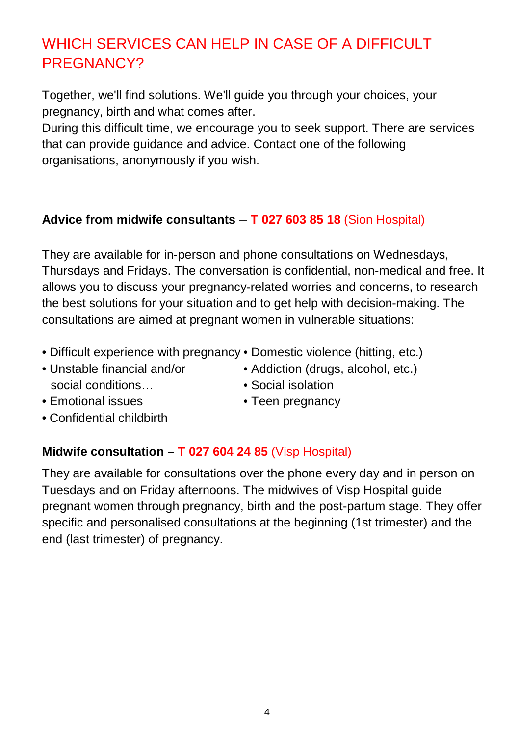# WHICH SERVICES CAN HELP IN CASE OF A DIFFICULT PREGNANCY?

Together, we'll find solutions. We'll guide you through your choices, your pregnancy, birth and what comes after.

During this difficult time, we encourage you to seek support. There are services that can provide guidance and advice. Contact one of the following organisations, anonymously if you wish.

#### **Advice from midwife consultants** – **T 027 603 85 18** (Sion Hospital)

They are available for in-person and phone consultations on Wednesdays, Thursdays and Fridays. The conversation is confidential, non-medical and free. It allows you to discuss your pregnancy-related worries and concerns, to research the best solutions for your situation and to get help with decision-making. The consultations are aimed at pregnant women in vulnerable situations:

- Difficult experience with pregnancy Domestic violence (hitting, etc.)
- social conditions... • Social isolation
- Unstable financial and/or Addiction (drugs, alcohol, etc.)
	-
- Emotional issues Teen pregnancy
- Confidential childbirth
- 

#### **Midwife consultation – T 027 604 24 85** (Visp Hospital)

They are available for consultations over the phone every day and in person on Tuesdays and on Friday afternoons. The midwives of Visp Hospital guide pregnant women through pregnancy, birth and the post-partum stage. They offer specific and personalised consultations at the beginning (1st trimester) and the end (last trimester) of pregnancy.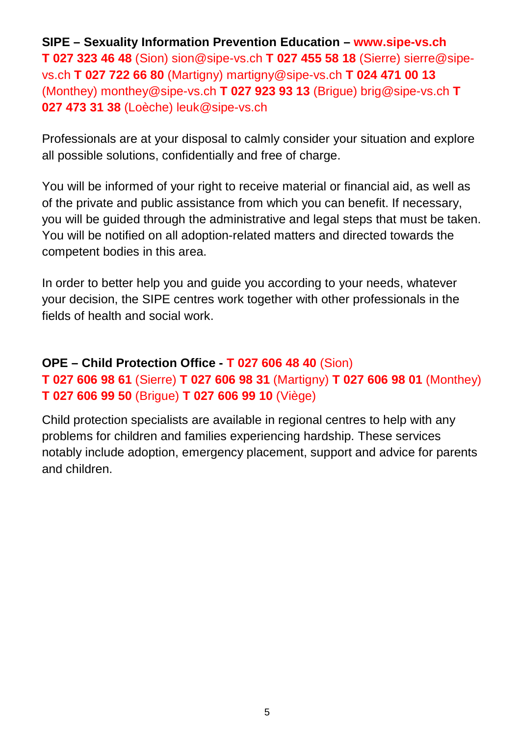**SIPE – Sexuality Information Prevention Education – www.sipe-vs.ch T 027 323 46 48** (Sion) [sion@sipe-vs.ch](mailto:sion@sipe-vs.ch) **T 027 455 58 18** (Sierre) sierre@sipevs.ch **T 027 722 66 80** (Martigny) martigny@sipe-vs.ch **T 024 471 00 13**  (Monthey) monthey@sipe-vs.ch **T 027 923 93 13** (Brigue) brig@sipe-vs.ch **T 027 473 31 38** (Loèche) leuk@sipe-vs.ch

Professionals are at your disposal to calmly consider your situation and explore all possible solutions, confidentially and free of charge.

You will be informed of your right to receive material or financial aid, as well as of the private and public assistance from which you can benefit. If necessary, you will be guided through the administrative and legal steps that must be taken. You will be notified on all adoption-related matters and directed towards the competent bodies in this area.

In order to better help you and guide you according to your needs, whatever your decision, the SIPE centres work together with other professionals in the fields of health and social work.

## **OPE – Child Protection Office - T 027 606 48 40** (Sion) **T 027 606 98 61** (Sierre) **T 027 606 98 31** (Martigny) **T 027 606 98 01** (Monthey) **T 027 606 99 50** (Brigue) **T 027 606 99 10** (Viège)

Child protection specialists are available in regional centres to help with any problems for children and families experiencing hardship. These services notably include adoption, emergency placement, support and advice for parents and children.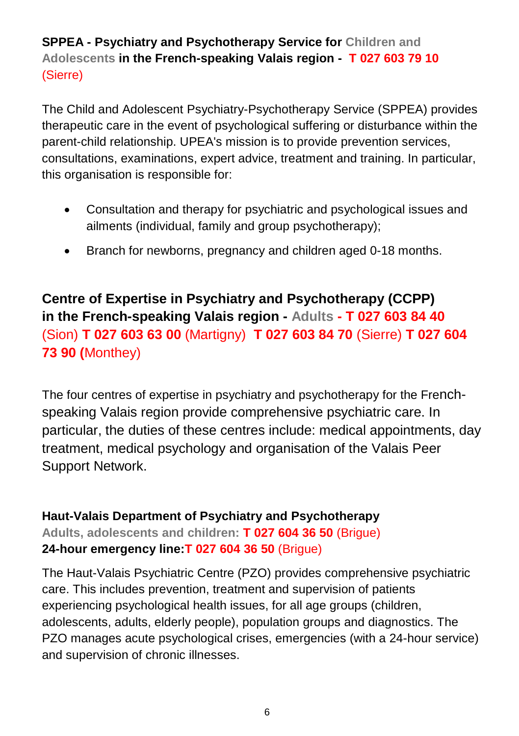### **SPPEA - Psychiatry and Psychotherapy Service for Children and Adolescents in the French-speaking Valais region - T 027 603 79 10**  (Sierre)

The Child and Adolescent Psychiatry-Psychotherapy Service (SPPEA) provides therapeutic care in the event of psychological suffering or disturbance within the parent-child relationship. UPEA's mission is to provide prevention services, consultations, examinations, expert advice, treatment and training. In particular, this organisation is responsible for:

- Consultation and therapy for psychiatric and psychological issues and ailments (individual, family and group psychotherapy);
- Branch for newborns, pregnancy and children aged 0-18 months.

**Centre of Expertise in Psychiatry and Psychotherapy (CCPP) in the French-speaking Valais region - Adults - T 027 603 84 40** (Sion) **T 027 603 63 00** (Martigny) **T 027 603 84 70** (Sierre) **T 027 604 73 90 (**Monthey)

The four centres of expertise in psychiatry and psychotherapy for the Frenchspeaking Valais region provide comprehensive psychiatric care. In particular, the duties of these centres include: medical appointments, day treatment, medical psychology and organisation of the Valais Peer Support Network.

## **Haut-Valais Department of Psychiatry and Psychotherapy**

**Adults, adolescents and children: T 027 604 36 50** (Brigue) **24-hour emergency line:T 027 604 36 50** (Brigue)

The Haut-Valais Psychiatric Centre (PZO) provides comprehensive psychiatric care. This includes prevention, treatment and supervision of patients experiencing psychological health issues, for all age groups (children, adolescents, adults, elderly people), population groups and diagnostics. The PZO manages acute psychological crises, emergencies (with a 24-hour service) and supervision of chronic illnesses.